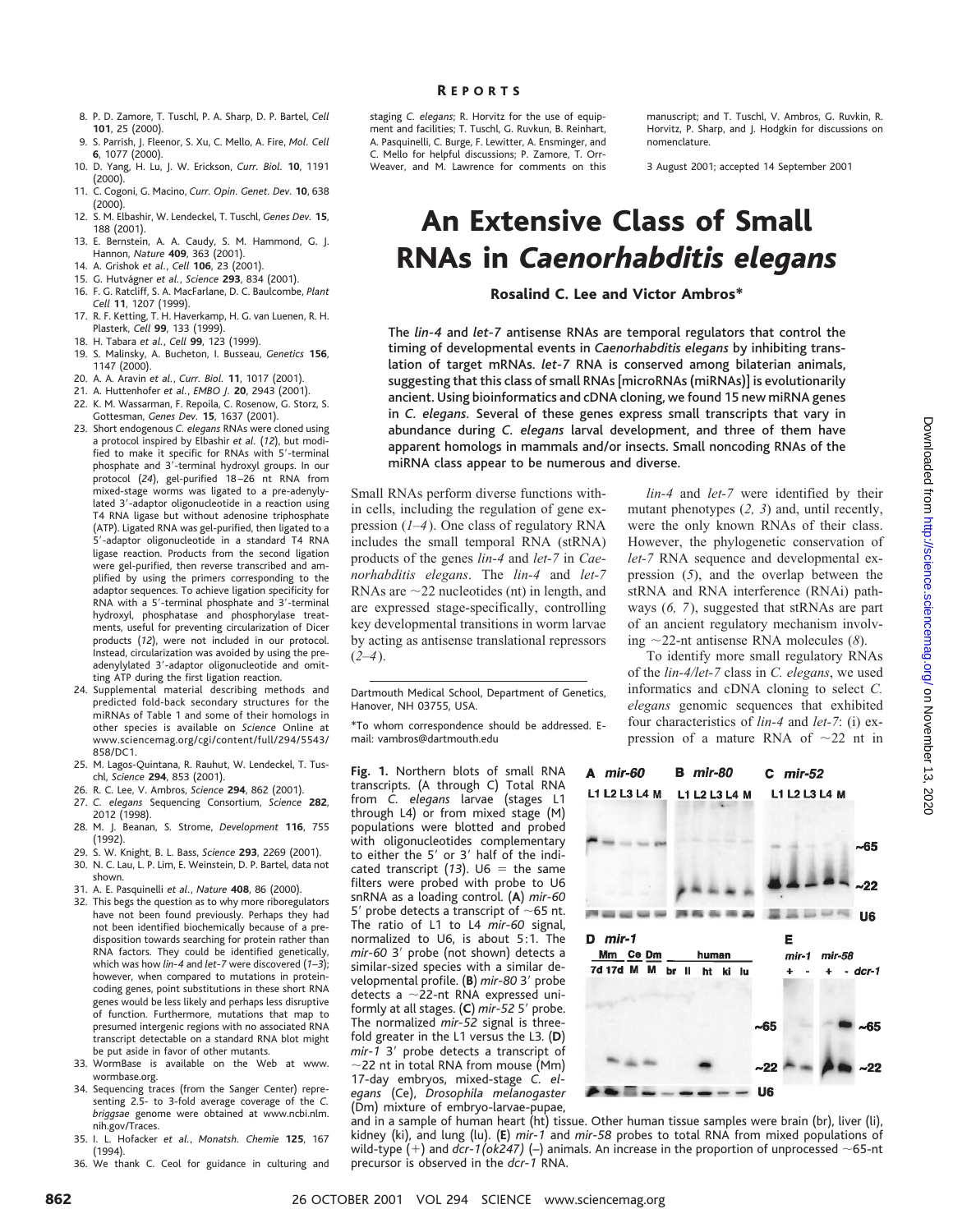- 8. P. D. Zamore, T. Tuschl, P. A. Sharp, D. P. Bartel, *Cell* **101**, 25 (2000).
- 9. S. Parrish, J. Fleenor, S. Xu, C. Mello, A. Fire, *Mol. Cell* **6**, 1077 (2000).
- 10. D. Yang, H. Lu, J. W. Erickson, *Curr. Biol.* **10**, 1191 (2000).
- 11. C. Cogoni, G. Macino, *Curr. Opin. Genet. Dev.* **10**, 638 (2000).
- 12. S. M. Elbashir, W. Lendeckel, T. Tuschl, *Genes Dev.* **15**, 188 (2001).
- 13. E. Bernstein, A. A. Caudy, S. M. Hammond, G. J. Hannon, *Nature* **409**, 363 (2001).
- 14. A. Grishok *et al.*, *Cell* **106**, 23 (2001).
- 15. G. Hutva´gner *et al.*, *Science* **293**, 834 (2001). 16. F. G. Ratcliff, S. A. MacFarlane, D. C. Baulcombe, *Plant Cell* **11**, 1207 (1999).
- 17. R. F. Ketting, T. H. Haverkamp, H. G. van Luenen, R. H. Plasterk, *Cell* **99**, 133 (1999).
- 18. H. Tabara *et al.*, *Cell* **99**, 123 (1999).
- 19. S. Malinsky, A. Bucheton, I. Busseau, *Genetics* **156**, 1147 (2000).
- 20. A. A. Aravin *et al.*, *Curr. Biol.* **11**, 1017 (2001).
- 21. A. Huttenhofer *et al.*, *EMBO J.* **20**, 2943 (2001).
- 22. K. M. Wassarman, F. Repoila, C. Rosenow, G. Storz, S. Gottesman, *Genes Dev.* **15**, 1637 (2001).
- 23. Short endogenous *C. elegans* RNAs were cloned using a protocol inspired by Elbashir *et al.* (*12*), but modified to make it specific for RNAs with 5'-terminal phosphate and 3'-terminal hydroxyl groups. In our protocol (*24*), gel-purified 18 –26 nt RNA from mixed-stage worms was ligated to a pre-adenylylated 3'-adaptor oligonucleotide in a reaction using T4 RNA ligase but without adenosine triphosphate (ATP). Ligated RNA was gel-purified, then ligated to a 5'-adaptor oligonucleotide in a standard T4 RNA ligase reaction. Products from the second ligation were gel-purified, then reverse transcribed and amplified by using the primers corresponding to the adaptor sequences. To achieve ligation specificity for RNA with a 5'-terminal phosphate and 3'-terminal hydroxyl, phosphatase and phosphorylase treatments, useful for preventing circularization of Dicer products (*12*), were not included in our protocol. Instead, circularization was avoided by using the preadenylylated 3'-adaptor oligonucleotide and omitting ATP during the first ligation reaction.
- 24. Supplemental material describing methods and predicted fold-back secondary structures for the miRNAs of Table 1 and some of their homologs in other species is available on *Science* Online at www.sciencemag.org/cgi/content/full/294/5543/ 858/DC1.
- 25. M. Lagos-Quintana, R. Rauhut, W. Lendeckel, T. Tuschl, *Science* **294**, 853 (2001).
- 26. R. C. Lee, V. Ambros, *Science* **294**, 862 (2001).
- 27. *C. elegans* Sequencing Consortium, *Science* **282**, 2012 (1998).
- 28. M. J. Beanan, S. Strome, *Development* **116**, 755 (1992).
- 29. S. W. Knight, B. L. Bass, *Science* **293**, 2269 (2001). 30. N. C. Lau, L. P. Lim, E. Weinstein, D. P. Bartel, data not shown.
- 31. A. E. Pasquinelli *et al.*, *Nature* **408**, 86 (2000).
- 32. This begs the question as to why more riboregulators have not been found previously. Perhaps they had not been identified biochemically because of a predisposition towards searching for protein rather than RNA factors. They could be identified genetically, which was how *lin-4* and *let-7* were discovered (*1*–*3*); however, when compared to mutations in proteincoding genes, point substitutions in these short RNA genes would be less likely and perhaps less disruptive of function. Furthermore, mutations that map to presumed intergenic regions with no associated RNA transcript detectable on a standard RNA blot might be put aside in favor of other mutants.
- 33. WormBase is available on the Web at www. wormbase.org.
- 34. Sequencing traces (from the Sanger Center) representing 2.5- to 3-fold average coverage of the *C. briggsae* genome were obtained at www.ncbi.nlm. nih.gov/Traces.
- 35. I. L. Hofacker *et al.*, *Monatsh. Chemie* **125**, 167 (1994).
- 36. We thank C. Ceol for guidance in culturing and

staging *C. elegans*; R. Horvitz for the use of equipment and facilities; T. Tuschl, G. Ruvkun, B. Reinhart, A. Pasquinelli, C. Burge, F. Lewitter, A. Ensminger, and C. Mello for helpful discussions; P. Zamore, T. Orr-Weaver, and M. Lawrence for comments on this manuscript: and T. Tuschl, V. Ambros, G. Ruvkin, R. Horvitz, P. Sharp, and J. Hodgkin for discussions on nomenclature.

3 August 2001; accepted 14 September 2001

# An Extensive Class of Small RNAs in *Caenorhabditis elegans*

#### Rosalind C. Lee and Victor Ambros\*

The *lin-4* and *let-7* antisense RNAs are temporal regulators that control the timing of developmental events in *Caenorhabditis elegans* by inhibiting translation of target mRNAs. *let-7* RNA is conserved among bilaterian animals, suggesting that this class of small RNAs [microRNAs (miRNAs)] is evolutionarily ancient. Using bioinformatics and cDNA cloning, we found 15 new miRNA genes in *C. elegans.* Several of these genes express small transcripts that vary in abundance during *C. elegans* larval development, and three of them have apparent homologs in mammals and/or insects. Small noncoding RNAs of the miRNA class appear to be numerous and diverse.

Small RNAs perform diverse functions within cells, including the regulation of gene expression (*1*–*4*). One class of regulatory RNA includes the small temporal RNA (stRNA) products of the genes *lin-4* and *let-7* in *Caenorhabditis elegans*. The *lin-4* and *let-7* RNAs are  $\sim$  22 nucleotides (nt) in length, and are expressed stage-specifically, controlling key developmental transitions in worm larvae by acting as antisense translational repressors  $(2-4)$ .

Dartmouth Medical School, Department of Genetics, Hanover, NH 03755, USA.

\*To whom correspondence should be addressed. Email: vambros@dartmouth.edu

**Fig. 1.** Northern blots of small RNA transcripts. (A through C) Total RNA from *C. elegans* larvae (stages L1 through L4) or from mixed stage (M) populations were blotted and probed with oligonucleotides complementary to either the 5' or 3' half of the indicated transcript  $(13)$ . U6 = the same filters were probed with probe to U6 snRNA as a loading control. (**A**) *mir-60* 5' probe detects a transcript of  $\sim$ 65 nt. The ratio of L1 to L4 *mir-60* signal, normalized to U6, is about 5:1. The mir-60 3' probe (not shown) detects a similar-sized species with a similar developmental profile. (B) mir-80 3' probe detects a  $\sim$ 22-nt RNA expressed uniformly at all stages. (C) mir-52 5' probe. The normalized *mir-52* signal is threefold greater in the L1 versus the L3. (**D**) *mir-1* 3' probe detects a transcript of  $\sim$ 22 nt in total RNA from mouse (Mm) 17-day embryos, mixed-stage *C. elegans* (Ce), *Drosophila melanogaster* (Dm) mixture of embryo-larvae-pupae,

*lin-4* and *let-7* were identified by their mutant phenotypes (*2, 3*) and, until recently, were the only known RNAs of their class. However, the phylogenetic conservation of *let-7* RNA sequence and developmental expression (*5*), and the overlap between the stRNA and RNA interference (RNAi) pathways (*6, 7*), suggested that stRNAs are part of an ancient regulatory mechanism involving  $\sim$ 22-nt antisense RNA molecules (*8*).

To identify more small regulatory RNAs of the *lin-4/let-7* class in *C. elegans*, we used informatics and cDNA cloning to select *C. elegans* genomic sequences that exhibited four characteristics of *lin-4* and *let-7*: (i) expression of a mature RNA of  $\sim$ 22 nt in



and in a sample of human heart (ht) tissue. Other human tissue samples were brain (br), liver (li), kidney (ki), and lung (lu). (**E**) *mir-1* and *mir-58* probes to total RNA from mixed populations of wild-type  $(+)$  and *dcr-1(ok247) (*–) animals. An increase in the proportion of unprocessed  $\sim$ 65-nt precursor is observed in the *dcr-1* RNA.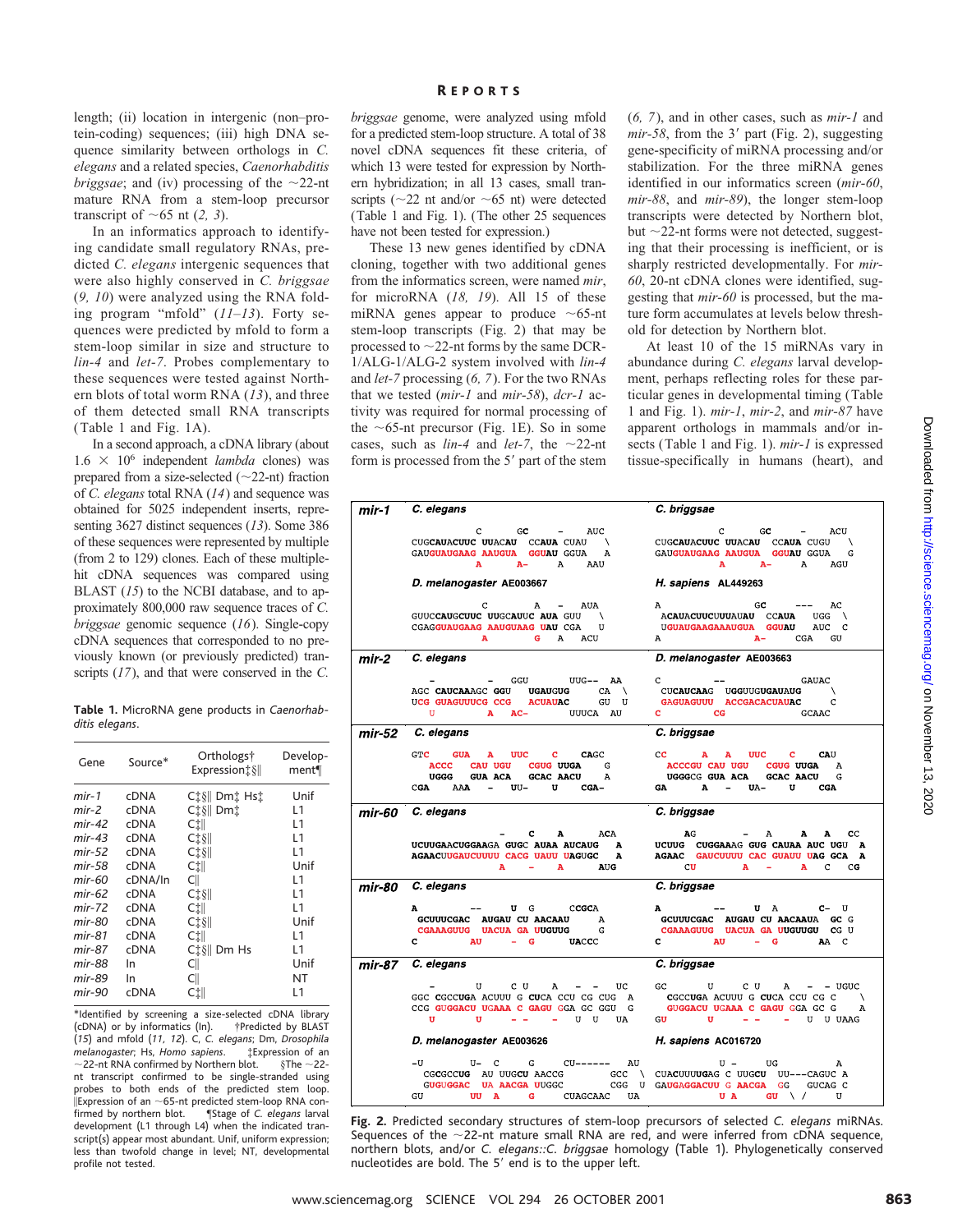length; (ii) location in intergenic (non–protein-coding) sequences; (iii) high DNA sequence similarity between orthologs in *C. elegans* and a related species, *Caenorhabditis briggsae*; and (iv) processing of the  $\sim$ 22-nt mature RNA from a stem-loop precursor transcript of  $\sim$  65 nt (2, 3).

In an informatics approach to identifying candidate small regulatory RNAs, predicted *C. elegans* intergenic sequences that were also highly conserved in *C. briggsae* (*9, 10*) were analyzed using the RNA folding program "mfold" (*11*–*13*). Forty sequences were predicted by mfold to form a stem-loop similar in size and structure to *lin-4* and *let-7*. Probes complementary to these sequences were tested against Northern blots of total worm RNA (*13*), and three of them detected small RNA transcripts (Table 1 and Fig. 1A).

In a second approach, a cDNA library (about  $1.6 \times 10^6$  independent *lambda* clones) was prepared from a size-selected  $(\sim 22$ -nt) fraction of *C. elegans* total RNA (*14*) and sequence was obtained for 5025 independent inserts, representing 3627 distinct sequences (*13*). Some 386 of these sequences were represented by multiple (from 2 to 129) clones. Each of these multiplehit cDNA sequences was compared using BLAST (*15*) to the NCBI database, and to approximately 800,000 raw sequence traces of *C. briggsae* genomic sequence (*16*). Single-copy cDNA sequences that corresponded to no previously known (or previously predicted) transcripts (*17*), and that were conserved in the *C.*

|                |  |  | Table 1. MicroRNA gene products in Caenorhab- |
|----------------|--|--|-----------------------------------------------|
| ditis elegans. |  |  |                                               |

| Gene     | Source*     | Orthologs†<br>Expression : § | Develop-<br>ment¶ |
|----------|-------------|------------------------------|-------------------|
| mir-1    | <b>cDNA</b> | C‡§   Dm‡ Hs‡                | Unif              |
| mir-2    | <b>cDNA</b> | Ci §   Dmi                   | L1                |
| $mir-42$ | <b>cDNA</b> | CÌll                         | L1                |
| $mir-43$ | <b>cDNA</b> | $C1$ \$                      | L1                |
| mir-52   | <b>cDNA</b> | $C\ddagger$ §                | l 1               |
| mir-58   | <b>cDNA</b> | C‡∥                          | Unif              |
| mir-60   | cDNA/In     | C                            | L1                |
| mir-62   | <b>cDNA</b> | $C1$ \$                      | L1                |
| $mir-72$ | <b>cDNA</b> | C‡∥                          | L1                |
| mir-80   | <b>cDNA</b> | $C1$ \$                      | Unif              |
| mir-81   | cDNA        | CÌll                         | L1                |
| mir-87   | <b>cDNA</b> | $C_1^*\$ Dm Hs               | l 1               |
| mir-88   | In          | C                            | Unif              |
| mir-89   | In          | Cll                          | NT                |
| mir-90   | cDNA        | C‡∥                          | L1                |

\*Identified by screening a size-selected cDNA library ( $cDNA$ ) or by informatics (In). (*15*) and mfold (*11, 12*). C, *C. elegans*; Dm, *Drosophila melanogaster*; Hs, *Homo sapiens*. ‡Expression of an  $\sim$  22-nt RNA confirmed by Northern blot. nt transcript confirmed to be single-stranded using probes to both ends of the predicted stem loop.  $\frac{1}{\text{Expression of an } \sim 65\text{-nt predicted stem-loop RNA con-}\n$ firmed by northern blot. ¶Stage of *C. elegans* larval fistage of *C. elegans* larval development (L1 through L4) when the indicated transcript(s) appear most abundant. Unif, uniform expression: less than twofold change in level; NT, developmental profile not tested.

*briggsae* genome, were analyzed using mfold for a predicted stem-loop structure. A total of 38 novel cDNA sequences fit these criteria, of which 13 were tested for expression by Northern hybridization; in all 13 cases, small transcripts ( $\sim$ 22 nt and/or  $\sim$ 65 nt) were detected (Table 1 and Fig. 1). (The other 25 sequences have not been tested for expression.)

These 13 new genes identified by cDNA cloning, together with two additional genes from the informatics screen, were named *mir*, for microRNA (*18, 19*). All 15 of these miRNA genes appear to produce  $\sim$  65-nt stem-loop transcripts (Fig. 2) that may be processed to  $\sim$ 22-nt forms by the same DCR-1/ALG-1/ALG-2 system involved with *lin-4* and *let-7* processing (*6, 7*). For the two RNAs that we tested (*mir-1* and *mir-58*), *dcr-1* activity was required for normal processing of the  $\sim$ 65-nt precursor (Fig. 1E). So in some cases, such as  $lin-4$  and  $let-7$ , the  $\sim$ 22-nt form is processed from the 5' part of the stem (*6, 7*), and in other cases, such as *mir-1* and  $mir-58$ , from the 3' part (Fig. 2), suggesting gene-specificity of miRNA processing and/or stabilization. For the three miRNA genes identified in our informatics screen (*mir-60*, *mir-88*, and *mir-89*), the longer stem-loop transcripts were detected by Northern blot, but  $\sim$ 22-nt forms were not detected, suggesting that their processing is inefficient, or is sharply restricted developmentally. For *mir-60*, 20-nt cDNA clones were identified, suggesting that *mir-60* is processed, but the mature form accumulates at levels below threshold for detection by Northern blot.

At least 10 of the 15 miRNAs vary in abundance during *C. elegans* larval development, perhaps reflecting roles for these particular genes in developmental timing (Table 1 and Fig. 1). *mir-1*, *mir-2*, and *mir-87* have apparent orthologs in mammals and/or insects (Table 1 and Fig. 1). *mir-1* is expressed tissue-specifically in humans (heart), and

| mir-1   | C. elegans                                                                                                                                                                                                                                                                                                                                                                                                                                          | C. briggsae                                                                                                                                                                                                                                                                                                                                                                                 |
|---------|-----------------------------------------------------------------------------------------------------------------------------------------------------------------------------------------------------------------------------------------------------------------------------------------------------------------------------------------------------------------------------------------------------------------------------------------------------|---------------------------------------------------------------------------------------------------------------------------------------------------------------------------------------------------------------------------------------------------------------------------------------------------------------------------------------------------------------------------------------------|
|         | $\mathcal{L}(\mathcal{L})$ and $\mathcal{L}(\mathcal{L})$ .<br>c<br>GC<br>AUC<br>CUGCAUACUUC UUACAU CCAUA CUAU \<br>GAUGUAUGAAG AAUGUA GGUAU GGUA<br>A<br>$A-$ A<br>A<br>AAU                                                                                                                                                                                                                                                                        | $C$ GC $-$<br>ACU<br>CUGCAUACUUC UUACAU CCAUA CUGU \<br>GAUGUAUGAAG AAUGUA GGUAU GGUA<br>G<br>$\mathbf{A}$<br>$\mathbf{A}$<br>$A-$<br>AGU                                                                                                                                                                                                                                                   |
|         | D. melanogaster AE003667                                                                                                                                                                                                                                                                                                                                                                                                                            | H. sapiens AL449263                                                                                                                                                                                                                                                                                                                                                                         |
|         | $\mathbf C$<br>A - AUA<br>GUUCCAUGCUUC UUGCAUUC AUA GUU \<br>CGAGGUAUGAAG AAUGUAAG UAU CGA<br>U<br>$\mathbf{A}$<br>G<br>$\mathbf{A}$<br>ACU                                                                                                                                                                                                                                                                                                         | $\mathbf{A}$<br>$_{\rm GC}$<br>AC<br>ACAUACUUCUUUAUAU CCAUA<br>$UGG \qquad \setminus$<br>UGUAUGAAGAAAUGUA GGUAU<br>AUC C<br>$A -$<br>$\mathbf{A}$<br>CGA<br>GU                                                                                                                                                                                                                              |
| $mir-2$ | C. elegans                                                                                                                                                                                                                                                                                                                                                                                                                                          | D. melanogaster AE003663                                                                                                                                                                                                                                                                                                                                                                    |
|         | GGU UUG-- AA<br>AGC CAUCAAAGC GGU UGAUGUG<br>$CA$ \<br>UCG GUAGUUUCG CCG ACUAUAC GU U<br>U A AC-<br>UUUCA AU                                                                                                                                                                                                                                                                                                                                        | $\mathbf{C}$ and $\mathbf{C}$ and $\mathbf{C}$ and $\mathbf{C}$ and $\mathbf{C}$ and $\mathbf{C}$ and $\mathbf{C}$ and $\mathbf{C}$ and $\mathbf{C}$ and $\mathbf{C}$ and $\mathbf{C}$ and $\mathbf{C}$ and $\mathbf{C}$ and $\mathbf{C}$ and $\mathbf{C}$ and $\mathbf{C}$ and $\mathbf{C}$ and<br>GAUAC<br>CUCAUCAAG UGGUUGUGAUAUG \<br>GAGUAGUUU ACCGACACUAUAC C<br><b>C</b> CG<br>GCAAC |
| mir-52  | C. elegans                                                                                                                                                                                                                                                                                                                                                                                                                                          | C. briggsae                                                                                                                                                                                                                                                                                                                                                                                 |
|         | <b>GUA</b><br>A UUC C<br><b>CAGC</b><br>GTC<br>CAU UGU CGUG UUGA<br><b>ACCC</b><br>$\mathbf{G}$<br>GUA ACA GCAC AACU A<br><b>UGGG</b><br>– UU– U<br>CGA AAA<br>CGA-                                                                                                                                                                                                                                                                                 | $UUC$ $C$<br>cc<br>${\bf A}$<br>${\bf A}$<br>CAU<br><b>ACCCGU CAU UGU CGUG UUGA A</b><br>UGGGCG GUA ACA GCAC AACU G<br>$GA$ $A$ $ UA$ $-$<br>$\mathbf{u}$ and $\mathbf{u}$<br><b>CGA</b>                                                                                                                                                                                                    |
| mir-60  | C. elegans                                                                                                                                                                                                                                                                                                                                                                                                                                          | C. briggsae                                                                                                                                                                                                                                                                                                                                                                                 |
|         | $C$ a<br>ACA<br>UCUUGAACUGGAAGA GUGC AUAA AUCAUG<br>$\mathbf{A}$<br><b>AGAACUUGAUCUUUU CACG UAUU UAGUGC</b><br>A<br>$\mathbf{A}$<br>$\sim$<br>$\mathbf{A}$<br><b>AUG</b>                                                                                                                                                                                                                                                                            | AG<br>$-$ A $-$ A $-$<br>cc<br>UCUUG CUGGAAAG GUG CAUAA AUC UGU A<br>AGAAC GAUCUUUU CAC GUAUU UAG GCA A<br>CU.<br>$\mathbf{A}$ $-$<br>$\mathbf{A}$<br>$\mathbf{C}$<br>CG                                                                                                                                                                                                                    |
| mir-80  | C. elegans                                                                                                                                                                                                                                                                                                                                                                                                                                          | C. briggsae                                                                                                                                                                                                                                                                                                                                                                                 |
|         | $\mathbf{A}$<br>U G CCGCA<br>GCUUUCGAC AUGAU CU AACAAU A<br>CGAAAGUUG UACUA GA UUGUUG<br>G<br>$-$ G<br><b>AU</b><br><b>UACCC</b><br>c                                                                                                                                                                                                                                                                                                               | $\mathbf{A}$<br>U A C-U<br>GCUUUCGAC AUGAU CU AACAAUA GC G<br>CGAAAGUUG UACUA GA UUGUUGU CG U<br>$C$ available $U$<br>$-$ G<br>AA C                                                                                                                                                                                                                                                         |
| mir-87  | C. elegans                                                                                                                                                                                                                                                                                                                                                                                                                                          | C. briggsae                                                                                                                                                                                                                                                                                                                                                                                 |
|         | $\mathbf{U}$<br>C U<br>$\mathbf{A}$<br>$- - -$ UC<br>GGC CGCCUGA ACUUU G CUCA CCU CG CUG A<br>CCG GUGGACU UGAAA C GAGU GGA GC GGU G<br>$- - - - U U$<br>$\mathbf{U}$<br>U.                                                                                                                                                                                                                                                                          | GC U<br>$C$ U<br>A<br>$ -$ UGUC<br>CGCCUGA ACUUU G CUCA CCU CG C<br>GUGGACU UGAAA C GAGU GGA GC G<br>А<br>$GU$ $U$ $-$<br>- U U UAAG                                                                                                                                                                                                                                                        |
|         | D. melanogaster AE003626                                                                                                                                                                                                                                                                                                                                                                                                                            | H. sapiens AC016720                                                                                                                                                                                                                                                                                                                                                                         |
|         | ${\tt CGCCCUC}\hspace{0.3cm} {\tt AU}\hspace{0.3cm} {\tt UUCCU}\hspace{0.3cm}{\tt AACG}\hspace{0.3cm} {\tt GC}\hspace{0.3cm} {\tt GC}\hspace{0.3cm} {\tt CGC}\hspace{0.3cm} {\tt V}\hspace{0.3cm}{\tt CUACUUUUGAG}\hspace{0.3cm} {\tt C}\hspace{0.3cm} {\tt UUCCU}\hspace{0.3cm} {\tt UU---CAGUC}\hspace{0.3cm} {\tt AUCG}\hspace{0.3cm} {\tt GUCAG}\hspace{0.3cm} {\tt CGC}\hspace{0.3cm} {\tt U}\hspace{0.3cm} {\$<br>G CUAGCAAC UA<br>GU<br>UU A | $\mathbb{U} \hspace{.1cm} - \hspace{.1cm} \mathbb{U}\mathbb{G}$<br>U A<br>$GU \setminus /$<br>U                                                                                                                                                                                                                                                                                             |

**Fig. 2.** Predicted secondary structures of stem-loop precursors of selected *C. elegans* miRNAs. Sequences of the  $\sim$ 22-nt mature small RNA are red, and were inferred from cDNA sequence, northern blots, and/or *C. elegans::C. briggsae* homology (Table 1). Phylogenetically conserved nucleotides are bold. The 5' end is to the upper left.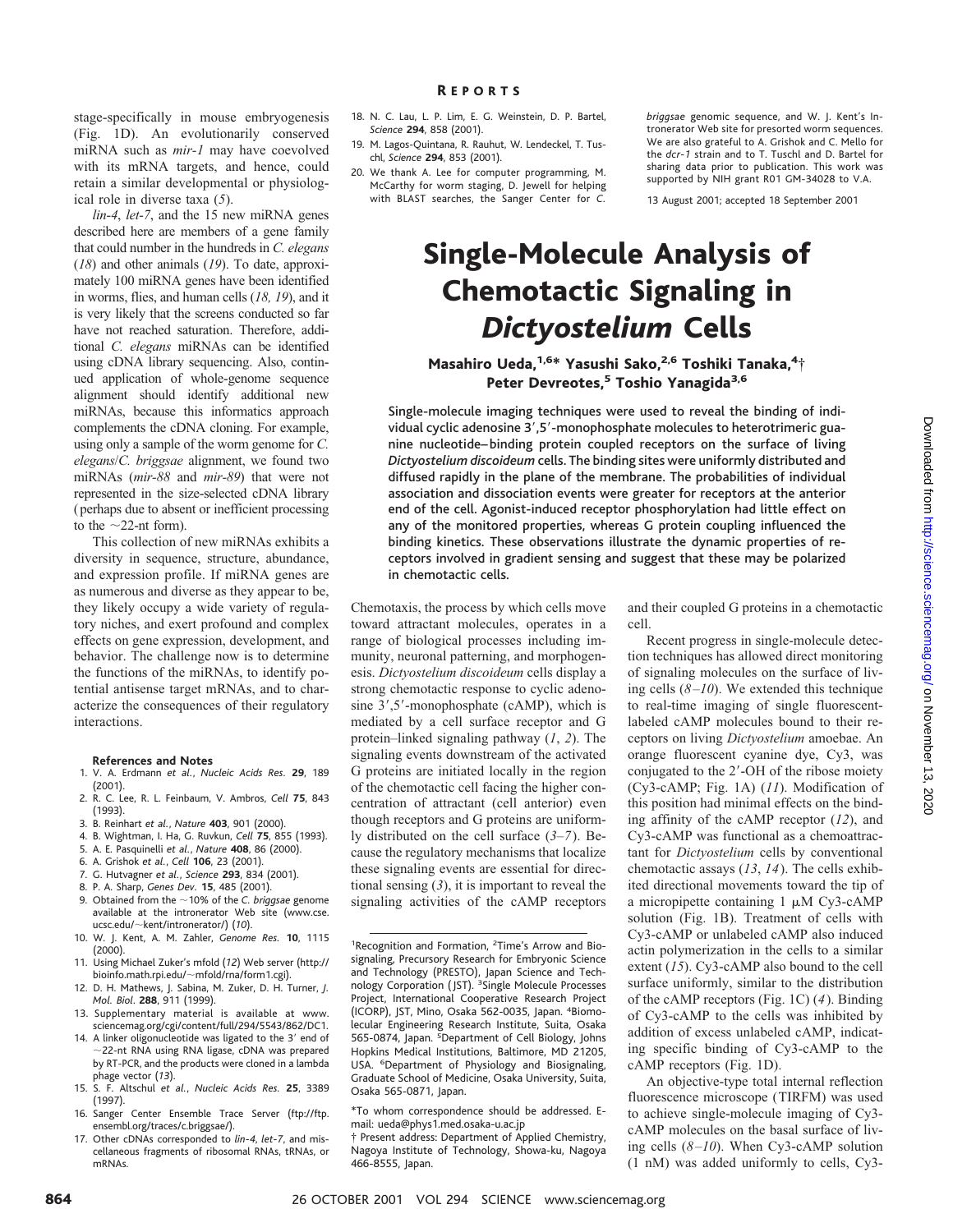stage-specifically in mouse embryogenesis (Fig. 1D). An evolutionarily conserved miRNA such as *mir-1* may have coevolved with its mRNA targets, and hence, could retain a similar developmental or physiological role in diverse taxa (*5*).

*lin-4*, *let-7*, and the 15 new miRNA genes described here are members of a gene family that could number in the hundreds in *C. elegans* (*18*) and other animals (*19*). To date, approximately 100 miRNA genes have been identified in worms, flies, and human cells (*18, 19*), and it is very likely that the screens conducted so far have not reached saturation. Therefore, additional *C. elegans* miRNAs can be identified using cDNA library sequencing. Also, continued application of whole-genome sequence alignment should identify additional new miRNAs, because this informatics approach complements the cDNA cloning. For example, using only a sample of the worm genome for *C. elegans*/*C. briggsae* alignment, we found two miRNAs (*mir-88* and *mir-89*) that were not represented in the size-selected cDNA library (perhaps due to absent or inefficient processing to the  $\sim$ 22-nt form).

This collection of new miRNAs exhibits a diversity in sequence, structure, abundance, and expression profile. If miRNA genes are as numerous and diverse as they appear to be, they likely occupy a wide variety of regulatory niches, and exert profound and complex effects on gene expression, development, and behavior. The challenge now is to determine the functions of the miRNAs, to identify potential antisense target mRNAs, and to characterize the consequences of their regulatory interactions.

#### **References and Notes**

- 1. V. A. Erdmann *et al.*, *Nucleic Acids Res.* **29**, 189 (2001).
- 2. R. C. Lee, R. L. Feinbaum, V. Ambros, *Cell* **75**, 843 (1993).
- 3. B. Reinhart *et al.*, *Nature* **403**, 901 (2000).
- 4. B. Wightman, I. Ha, G. Ruvkun, *Cell* **75**, 855 (1993).
- 5. A. E. Pasquinelli *et al.*, *Nature* **408**, 86 (2000).
- 6. A. Grishok *et al.*, *Cell* **106**, 23 (2001).
- 7. G. Hutvagner *et al.*, *Science* **293**, 834 (2001).
- 8. P. A. Sharp, *Genes Dev.* **15**, 485 (2001).
- 9. Obtained from the ;10% of the *C. briggsae* genome available at the intronerator Web site (www.cse. ucsc.edu/~kent/intronerator/) (10).
- 10. W. J. Kent, A. M. Zahler, *Genome Res.* **10**, 1115 (2000).
- 11. Using Michael Zuker's mfold (*12*) Web server (http:// bioinfo.math.rpi.edu/~mfold/rna/form1.cgi).
- 12. D. H. Mathews, J. Sabina, M. Zuker, D. H. Turner, *J. Mol. Biol*. **288**, 911 (1999).
- 13. Supplementary material is available at www. sciencemag.org/cgi/content/full/294/5543/862/DC1.
- 14. A linker oligonucleotide was ligated to the 3' end of ;22-nt RNA using RNA ligase, cDNA was prepared by RT-PCR, and the products were cloned in a lambda phage vector (*13*).
- 15. S. F. Altschul *et al.*, *Nucleic Acids Res.* **25**, 3389 (1997).
- 16. Sanger Center Ensemble Trace Server (ftp://ftp. ensembl.org/traces/c.briggsae/).
- 17. Other cDNAs corresponded to *lin-4*, *let-7*, and miscellaneous fragments of ribosomal RNAs, tRNAs, or mRNAs.
- 18. N. C. Lau, L. P. Lim, E. G. Weinstein, D. P. Bartel, *Science* **294**, 858 (2001).
- 19. M. Lagos-Quintana, R. Rauhut, W. Lendeckel, T. Tuschl, *Science* **294**, 853 (2001).
- 20. We thank A. Lee for computer programming, M. McCarthy for worm staging, D. Jewell for helping with BLAST searches, the Sanger Center for *C.*

*briggsae* genomic sequence, and W. J. Kent's Intronerator Web site for presorted worm sequences. We are also grateful to A. Grishok and C. Mello for the *dcr-1* strain and to T. Tuschl and D. Bartel for sharing data prior to publication. This work was supported by NIH grant R01 GM-34028 to V.A.

13 August 2001; accepted 18 September 2001

and their coupled G proteins in a chemotactic

cAMP receptors (Fig. 1D).

An objective-type total internal reflection fluorescence microscope (TIRFM) was used to achieve single-molecule imaging of Cy3 cAMP molecules on the basal surface of living cells (*8–10*). When Cy3-cAMP solution (1 nM) was added uniformly to cells, Cy3-

Recent progress in single-molecule detection techniques has allowed direct monitoring of signaling molecules on the surface of living cells (*8–10*). We extended this technique to real-time imaging of single fluorescentlabeled cAMP molecules bound to their receptors on living *Dictyostelium* amoebae. An orange fluorescent cyanine dye, Cy3, was conjugated to the 2'-OH of the ribose moiety (Cy3-cAMP; Fig. 1A) (*11*). Modification of this position had minimal effects on the binding affinity of the cAMP receptor (*12*), and Cy3-cAMP was functional as a chemoattractant for *Dictyostelium* cells by conventional chemotactic assays (*13*, *14*). The cells exhibited directional movements toward the tip of a micropipette containing  $1 \mu M$  Cy3-cAMP solution (Fig. 1B). Treatment of cells with Cy3-cAMP or unlabeled cAMP also induced actin polymerization in the cells to a similar extent (*15*). Cy3-cAMP also bound to the cell surface uniformly, similar to the distribution of the cAMP receptors (Fig. 1C) (*4*). Binding of Cy3-cAMP to the cells was inhibited by addition of excess unlabeled cAMP, indicating specific binding of Cy3-cAMP to the

# Single-Molecule Analysis of Chemotactic Signaling in *Dictyostelium* Cells

## Masahiro Ueda,<sup>1,6</sup>\* Yasushi Sako,<sup>2,6</sup> Toshiki Tanaka,<sup>4</sup>† Peter Devreotes,<sup>5</sup> Toshio Yanagida<sup>3,6</sup>

Single-molecule imaging techniques were used to reveal the binding of individual cyclic adenosine 3',5'-monophosphate molecules to heterotrimeric guanine nucleotide– binding protein coupled receptors on the surface of living *Dictyostelium discoideum* cells. The binding sites were uniformly distributed and diffused rapidly in the plane of the membrane. The probabilities of individual association and dissociation events were greater for receptors at the anterior end of the cell. Agonist-induced receptor phosphorylation had little effect on any of the monitored properties, whereas G protein coupling influenced the binding kinetics. These observations illustrate the dynamic properties of receptors involved in gradient sensing and suggest that these may be polarized in chemotactic cells.

cell.

Chemotaxis, the process by which cells move toward attractant molecules, operates in a range of biological processes including immunity, neuronal patterning, and morphogenesis. *Dictyostelium discoideum* cells display a strong chemotactic response to cyclic adenosine  $3', 5'$ -monophosphate (cAMP), which is mediated by a cell surface receptor and G protein–linked signaling pathway (*1*, *2*). The signaling events downstream of the activated G proteins are initiated locally in the region of the chemotactic cell facing the higher concentration of attractant (cell anterior) even though receptors and G proteins are uniformly distributed on the cell surface (*3–7*). Because the regulatory mechanisms that localize these signaling events are essential for directional sensing (*3*), it is important to reveal the signaling activities of the cAMP receptors Downloaded from http://science.sciencemag.org/ on November 13, 2020 Downloaded from <http://science.sciencemag.org/> on November 13, 2020

<sup>&</sup>lt;sup>1</sup>Recognition and Formation, <sup>2</sup>Time's Arrow and Biosignaling, Precursory Research for Embryonic Science and Technology (PRESTO), Japan Science and Technology Corporation (JST). <sup>3</sup>Single Molecule Processes Project, International Cooperative Research Project (ICORP), JST, Mino, Osaka 562-0035, Japan. <sup>4</sup> Biomolecular Engineering Research Institute, Suita, Osaka 565-0874, Japan. <sup>5</sup>Department of Cell Biology, Johns Hopkins Medical Institutions, Baltimore, MD 21205, USA. <sup>6</sup>Department of Physiology and Biosignaling, Graduate School of Medicine, Osaka University, Suita, Osaka 565-0871, Japan.

<sup>\*</sup>To whom correspondence should be addressed. Email: ueda@phys1.med.osaka-u.ac.jp

<sup>†</sup> Present address: Department of Applied Chemistry, Nagoya Institute of Technology, Showa-ku, Nagoya 466-8555, Japan.